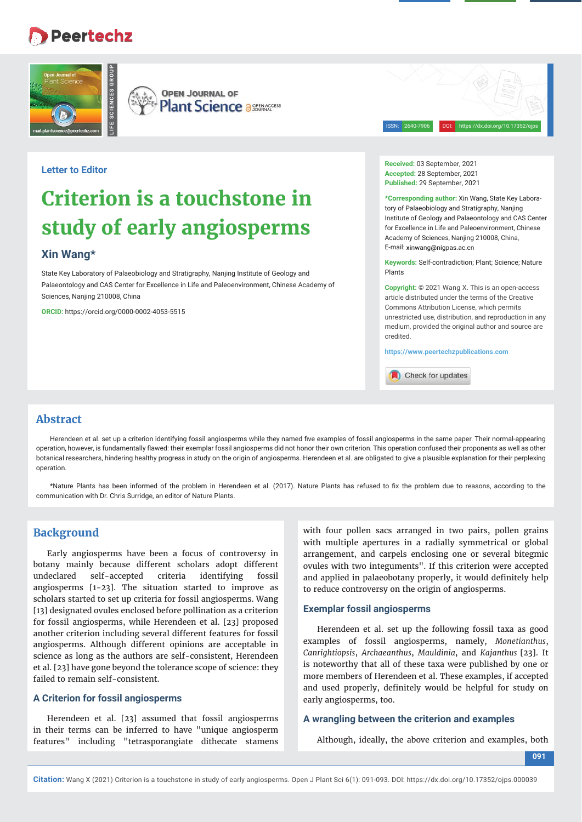## **Peertechz**



**OPEN JOURNAL OF Plant Science a SEERACCESS** 

ISSN: 2640-7906 DOI: https://dx.doi.org/10.17352/ojps

## **Letter to Editor**

# **Criterion is a touchstone in study of early angiosperms**

## **Xin Wang\***

State Key Laboratory of Palaeobiology and Stratigraphy, Nanjing Institute of Geology and Palaeontology and CAS Center for Excellence in Life and Paleoenvironment, Chinese Academy of Sciences, Nanjing 210008, China

**ORCID:** https://orcid.org/0000-0002-4053-5515

**Received:** 03 September, 2021 **Accepted:** 28 September, 2021 **Published:** 29 September, 2021

**\*Corresponding author:** Xin Wang, State Key Laboratory of Palaeobiology and Stratigraphy, Nanjing Institute of Geology and Palaeontology and CAS Center for Excellence in Life and Paleoenvironment, Chinese Academy of Sciences, Nanjing 210008, China, E-mail: xinwang@nigpas.ac.cn

**Keywords:** Self-contradiction; Plant; Science; Nature Plants

**Copyright:** © 2021 Wang X. This is an open-access article distributed under the terms of the Creative Commons Attribution License, which permits unrestricted use, distribution, and reproduction in any medium, provided the original author and source are credited.

**https://www.peertechzpublications.com**

Check for updates

### **Abstract**

Herendeen et al. set up a criterion identifying fossil angiosperms while they named five examples of fossil angiosperms in the same paper. Their normal-appearing operation, however, is fundamentally flawed: their exemplar fossil angiosperms did not honor their own criterion. This operation confused their proponents as well as other botanical researchers, hindering healthy progress in study on the origin of angiosperms. Herendeen et al. are obligated to give a plausible explanation for their perplexing operation.

\*Nature Plants has been informed of the problem in Herendeen et al. (2017). Nature Plants has refused to fix the problem due to reasons, according to the communication with Dr. Chris Surridge, an editor of Nature Plants.

## **Background**

Early angiosperms have been a focus of controversy in botany mainly because different scholars adopt different undeclared self-accepted criteria identifying fossil angiosperms [1-23]. The situation started to improve as scholars started to set up criteria for fossil angiosperms. Wang [13] designated ovules enclosed before pollination as a criterion for fossil angiosperms, while Herendeen et al. [23] proposed another criterion including several different features for fossil angiosperms. Although different opinions are acceptable in science as long as the authors are self-consistent, Herendeen et al. [23] have gone beyond the tolerance scope of science: they failed to remain self-consistent.

#### **A Criterion for fossil angiosperms**

Herendeen et al. [23] assumed that fossil angiosperms in their terms can be inferred to have "unique angiosperm features" including "tetrasporangiate dithecate stamens

with four pollen sacs arranged in two pairs, pollen grains with multiple apertures in a radially symmetrical or global arrangement, and carpels enclosing one or several bitegmic ovules with two integuments". If this criterion were accepted and applied in palaeobotany properly, it would definitely help to reduce controversy on the origin of angiosperms.

#### **Exemplar fossil angiosperms**

Herendeen et al. set up the following fossil taxa as good examples of fossil angiosperms, namely, *Monetianthus*, *Canrightiopsis*, *Archaeanthus*, *Mauldinia*, and *Kajanthus* [23]. It is noteworthy that all of these taxa were published by one or more members of Herendeen et al. These examples, if accepted and used properly, definitely would be helpful for study on early angiosperms, too.

#### **A wrangling between the criterion and examples**

Although, ideally, the above criterion and examples, both

**091**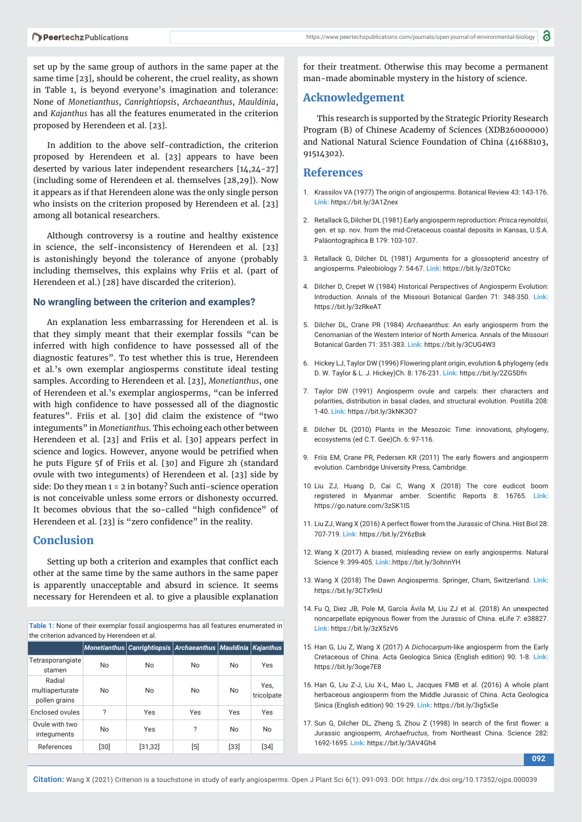set up by the same group of authors in the same paper at the same time [23], should be coherent, the cruel reality, as shown in Table 1, is beyond everyone's imagination and tolerance: None of *Monetianthus*, *Canrightiopsis*, *Archaeanthus*, *Mauldinia*, and *Kajanthus* has all the features enumerated in the criterion proposed by Herendeen et al. [23].

In addition to the above self-contradiction, the criterion proposed by Herendeen et al. [23] appears to have been deserted by various later independent researchers [14,24-27] (including some of Herendeen et al. themselves [28,29]). Now it appears as if that Herendeen alone was the only single person who insists on the criterion proposed by Herendeen et al. [23] among all botanical researchers.

Although controversy is a routine and healthy existence in science, the self-inconsistency of Herendeen et al. [23] is astonishingly beyond the tolerance of anyone (probably including themselves, this explains why Friis et al. (part of Herendeen et al.) [28] have discarded the criterion).

#### **No wrangling between the criterion and examples?**

An explanation less embarrassing for Herendeen et al. is that they simply meant that their exemplar fossils "can be inferred with high confidence to have possessed all of the diagnostic features". To test whether this is true, Herendeen et al.'s own exemplar angiosperms constitute ideal testing samples. According to Herendeen et al. [23], *Monetianthus*, one of Herendeen et al.'s exemplar angiosperms, "can be inferred with high confidence to have possessed all of the diagnostic features". Friis et al. [30] did claim the existence of "two integuments" in *Monetianthus*. This echoing each other between Herendeen et al. [23] and Friis et al. [30] appears perfect in science and logics. However, anyone would be petrified when he puts Figure 5f of Friis et al. [30] and Figure 2h (standard ovule with two integuments) of Herendeen et al. [23] side by side: Do they mean 1 = 2 in botany? Such anti-science operation is not conceivable unless some errors or dishonesty occurred. It becomes obvious that the so-called "high confidence" of Herendeen et al. [23] is "zero confidence" in the reality.

## **Conclusion**

Setting up both a criterion and examples that conflict each other at the same time by the same authors in the same paper is apparently unacceptable and absurd in science. It seems necessary for Herendeen et al. to give a plausible explanation

**Table 1:** None of their exemplar fossil angiosperms has all features enumerated in the criterion advanced by Herendeen et al.

|                                            |      | Monetianthus Canrightiopsis Archaeanthus Mauldinia Kajanthus |     |           |                    |
|--------------------------------------------|------|--------------------------------------------------------------|-----|-----------|--------------------|
| Tetrasporangiate<br>stamen                 | No   | No                                                           | No  | <b>No</b> | Yes                |
| Radial<br>multiaperturate<br>pollen grains | No   | No                                                           | No  | No        | Yes,<br>tricolpate |
| Enclosed ovules                            | ?    | Yes                                                          | Yes | Yes       | Yes                |
| Ovule with two<br>integuments              | No   | Yes                                                          | ?   | No        | No                 |
| References                                 | [30] | [31, 32]                                                     | [5] | [33]      | [34]               |

for their treatment. Otherwise this may become a permanent man-made abominable mystery in the history of science.

## **Acknowledgement**

This research is supported by the Strategic Priority Research Program (B) of Chinese Academy of Sciences (XDB26000000) and National Natural Science Foundation of China (41688103, 91514302).

#### **References**

- 1. Krassilov VA (1977) The origin of angiosperms. Botanical Review 43: 143-176. **Link:** https://bit.ly/3A1Znex
- 2. Retallack G, Dilcher DL (1981) Early angiosperm reproduction: *Prisca reynoldsii*, gen. et sp. nov. from the mid-Cretaceous coastal deposits in Kansas, U.S.A. Paläontographica B 179: 103-107.
- 3. Retallack G, Dilcher DL (1981) Arguments for a glossopterid ancestry of angiosperms. Paleobiology 7: 54-67. **Link:** https://bit.ly/3zOTCkc
- 4. Dilcher D, Crepet W (1984) Historical Perspectives of Angiosperm Evolution: Introduction. Annals of the Missouri Botanical Garden 71: 348-350. **Link:** https://bit.ly/3zRkeAT
- 5. Dilcher DL, Crane PR (1984) *Archaeanthus*: An early angiosperm from the Cenomanian of the Western Interior of North America. Annals of the Missouri Botanical Garden 71: 351-383. **Link:** https://bit.ly/3CUG4W3
- 6. Hickey LJ, Taylor DW (1996) Flowering plant origin, evolution & phylogeny (eds D. W. Taylor & L. J. Hickey)Ch. 8: 176-231. **Link:** https://bit.ly/2ZG5Dfn
- 7. Taylor DW (1991) Angiosperm ovule and carpels: their characters and polarities, distribution in basal clades, and structural evolution. Postilla 208: 1-40. **Link:** https://bit.ly/3kNK3O7
- 8. Dilcher DL (2010) Plants in the Mesozoic Time: innovations, phylogeny, ecosystems (ed C.T. Gee)Ch. 6: 97-116.
- 9. Friis EM, Crane PR, Pedersen KR (2011) The early flowers and angiosperm evolution. Cambridge University Press, Cambridge.
- 10. Liu ZJ, Huang D, Cai C, Wang X (2018) The core eudicot boom registered in Myanmar amber. Scientific Reports 8: 16765. Link: https://go.nature.com/3zSK1IS
- 11. Liu ZJ, Wang X (2016) A perfect flower from the Jurassic of China. Hist Biol 28: 707-719. **Link:** https://bit.ly/2Y6zBsk
- 12. Wang X (2017) A biased, misleading review on early angiosperms. Natural Science 9: 399-405. **Link:**.https://bit.ly/3ohnnYH
- 13. Wang X (2018) The Dawn Angiosperms. Springer, Cham, Switzerland. **Link:** https://bit.ly/3CTx9nU
- 14. Fu Q, Diez JB, Pole M, García Ávila M, Liu ZJ et al. (2018) An unexpected noncarpellate epigynous flower from the Jurassic of China. eLife 7: e38827. **Link:** https://bit.ly/3zX5zV6
- 15. Han G, Liu Z, Wang X (2017) A *Dichocarpum*-like angiosperm from the Early Cretaceous of China. Acta Geologica Sinica (English edition) 90: 1-8. **Link:** https://bit.ly/3oge7E8
- 16. Han G, Liu Z-J, Liu X-L, Mao L, Jacques FMB et al. (2016) A whole plant herbaceous angiosperm from the Middle Jurassic of China. Acta Geologica Sinica (English edition) 90: 19-29. **Link:** https://bit.ly/3ig5xSe
- 17. Sun G, Dilcher DL, Zheng S, Zhou Z (1998) In search of the first flower: a Jurassic angiosperm, *Archaefructus*, from Northeast China. Science 282: 1692-1695. **Link:** https://bit.ly/3AV4Gh4

**092**

**Citation:** Wang X (2021) Criterion is a touchstone in study of early angiosperms. Open J Plant Sci 6(1): 091-093. DOI: https://dx.doi.org/10.17352/ojps.000039